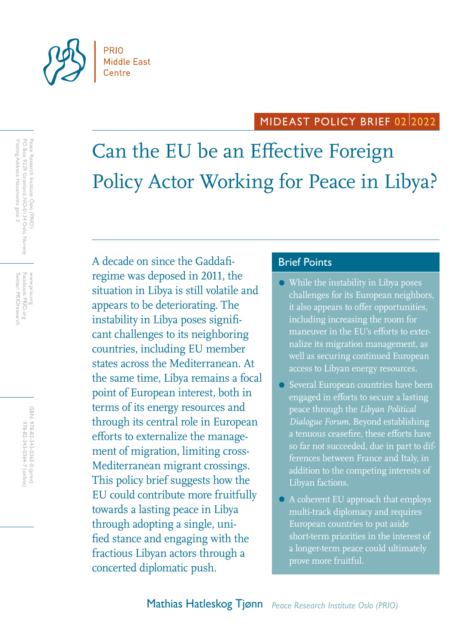

# MIDEAST POLICY BRIEF 0212022

Can the EU be an Effective Foreign Policy Actor Working for Peace in Libya?

A decade on since the Gaddafi-<br>
Brief Points regime was deposed in 2011, the situation in Libya is still volatile and appears to be deteriorating. The instability in Libya poses significant challenges to its neighboring countries, including EU member states across the Mediterranean. At the same time, Libya remains a focal point of European interest, both in terms of its energy resources and through its central role in European efforts to externalize the management of migration, limiting cross-Mediterranean migrant crossings. This policy brief suggests how the EU could contribute more fruitfully towards a lasting peace in Libya through adopting a single, unified stance and engaging with the fractious Libyan actors through a concerted diplomatic push.

- While the instability in Libya poses challenges for its European neighbors, it also appears to offer opportunities, including increasing the room for maneuver in the EU's efforts to externalize its migration management, as well as securing continued European access to Libyan energy resources.
- Several European countries have been engaged in efforts to secure a lasting peace through the *Libyan Political Dialogue Forum*. Beyond establishing a tenuous ceasefire, these efforts have so far not succeeded, due in part to differences between France and Italy, in addition to the competing interests of Libyan factions.
- A coherent EU approach that employs multi-track diplomacy and requires European countries to put aside short-term priorities in the interest of a longer-term peace could ultimately prove more fruitful.

Facebook: PRIO.org<br>Twitter: PRIOresearch Twitter: PRIOresearch Facebook: PRIO.org www.prio.org www.prio.org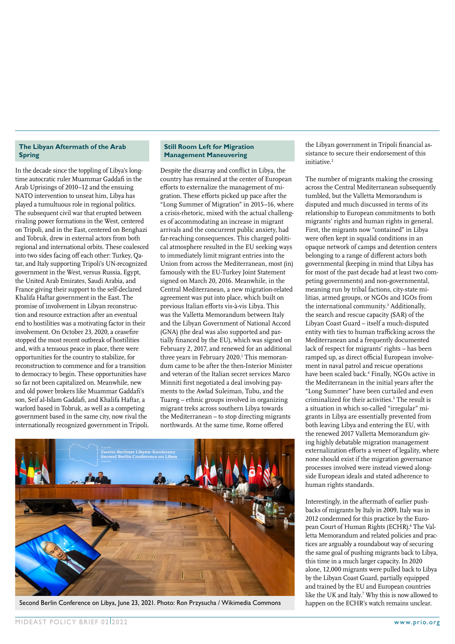### **The Libyan Aftermath of the Arab Spring**

In the decade since the toppling of Libya's longtime autocratic ruler Muammar Gaddafi in the Arab Uprisings of 2010–12 and the ensuing NATO intervention to unseat him, Libya has played a tumultuous role in regional politics. The subsequent civil war that erupted between rivaling power formations in the West, centered on Tripoli, and in the East, centered on Benghazi and Tobruk, drew in external actors from both regional and international orbits. These coalesced into two sides facing off each other: Turkey, Qatar, and Italy supporting Tripoli's UN-recognized government in the West, versus Russia, Egypt, the United Arab Emirates, Saudi Arabia, and France giving their support to the self-declared Khalifa Haftar government in the East. The promise of involvement in Libyan reconstruction and resource extraction after an eventual end to hostilities was a motivating factor in their involvement. On October 23, 2020, a ceasefire stopped the most recent outbreak of hostilities and, with a tenuous peace in place, there were opportunities for the country to stabilize, for reconstruction to commence and for a transition to democracy to begin. These opportunities have so far not been capitalized on. Meanwhile, new and old power brokers like Muammar Gaddafi's son, Seif al-Islam Gaddafi, and Khalifa Haftar, a warlord based in Tobruk, as well as a competing government based in the same city, now rival the internationally recognized government in Tripoli.

#### **Still Room Left for Migration Management Maneuvering**

Despite the disarray and conflict in Libya, the country has remained at the center of European efforts to externalize the management of migration. These efforts picked up pace after the "Long Summer of Migration" in 2015–16, where a crisis-rhetoric, mixed with the actual challenges of accommodating an increase in migrant arrivals and the concurrent public anxiety, had far-reaching consequences. This charged political atmosphere resulted in the EU seeking ways to immediately limit migrant entries into the Union from across the Mediterranean, most (in) famously with the EU-Turkey Joint Statement signed on March 20, 2016. Meanwhile, in the Central Mediterranean, a new migration-related agreement was put into place, which built on previous Italian efforts vis-à-vis Libya. This was the Valletta Memorandum between Italy and the Libyan Government of National Accord (GNA) (the deal was also supported and partially financed by the EU), which was signed on February 2, 2017, and renewed for an additional three years in February 2020.<sup>1</sup> This memorandum came to be after the then-Interior Minister and veteran of the Italian secret services Marco Minniti first negotiated a deal involving payments to the Awlad Suleiman, Tubu, and the Tuareg – ethnic groups involved in organizing migrant treks across southern Libya towards the Mediterranean – to stop directing migrants northwards. At the same time, Rome offered



Second Berlin Conference on Libya, June 23, 2021. Photo: Ron Przysucha / Wikimedia Commons happen on the ECHR's watch remains unclear.

the Libyan government in Tripoli financial assistance to secure their endorsement of this initiative.2

The number of migrants making the crossing across the Central Mediterranean subsequently tumbled, but the Valletta Memorandum is disputed and much discussed in terms of its relationship to European commitments to both migrants' rights and human rights in general. First, the migrants now "contained" in Libya were often kept in squalid conditions in an opaque network of camps and detention centers belonging to a range of different actors both governmental (keeping in mind that Libya has for most of the past decade had at least two competing governments) and non-governmental, meaning run by tribal factions, city-state militias, armed groups, or NGOs and IGOs from the international community.<sup>3</sup> Additionally, the search and rescue capacity (SAR) of the Libyan Coast Guard – itself a much-disputed entity with ties to human trafficking across the Mediterranean and a frequently documented lack of respect for migrants' rights – has been ramped up, as direct official European involvement in naval patrol and rescue operations have been scaled back.4 Finally, NGOs active in the Mediterranean in the initial years after the "Long Summer" have been curtailed and even criminalized for their activities.<sup>5</sup> The result is a situation in which so-called "irregular" migrants in Libya are essentially prevented from both leaving Libya and entering the EU, with the renewed 2017 Valletta Memorandum giving highly debatable migration management externalization efforts a veneer of legality, where none should exist if the migration governance processes involved were instead viewed alongside European ideals and stated adherence to human rights standards.

Interestingly, in the aftermath of earlier pushbacks of migrants by Italy in 2009, Italy was in 2012 condemned for this practice by the European Court of Human Rights (ECHR).<sup>6</sup> The Valletta Memorandum and related policies and practices are arguably a roundabout way of securing the same goal of pushing migrants back to Libya, this time in a much larger capacity. In 2020 alone, 12,000 migrants were pulled back to Libya by the Libyan Coast Guard, partially equipped and trained by the EU and European countries like the UK and Italy.<sup>7</sup> Why this is now allowed to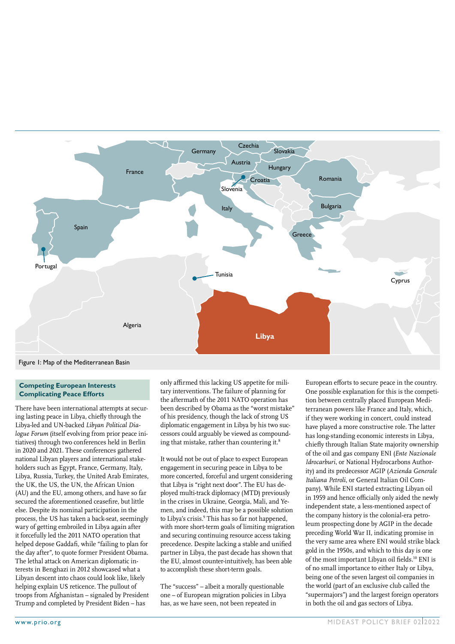

Figure 1: Map of the Mediterranean Basin

#### **Competing European Interests Complicating Peace Efforts**

There have been international attempts at securing lasting peace in Libya, chiefly through the Libya-led and UN-backed *Libyan Political Dialogue Forum* (itself evolving from prior peace initiatives) through two conferences held in Berlin in 2020 and 2021. These conferences gathered national Libyan players and international stakeholders such as Egypt, France, Germany, Italy, Libya, Russia, Turkey, the United Arab Emirates, the UK, the US, the UN, the African Union (AU) and the EU, among others, and have so far secured the aforementioned ceasefire, but little else. Despite its nominal participation in the process, the US has taken a back-seat, seemingly wary of getting embroiled in Libya again after it forcefully led the 2011 NATO operation that helped depose Gaddafi, while "failing to plan for the day after", to quote former President Obama. The lethal attack on American diplomatic interests in Benghazi in 2012 showcased what a Libyan descent into chaos could look like, likely helping explain US reticence. The pullout of troops from Afghanistan – signaled by President Trump and completed by President Biden – has

only affirmed this lacking US appetite for military interventions. The failure of planning for the aftermath of the 2011 NATO operation has been described by Obama as the "worst mistake" of his presidency, though the lack of strong US diplomatic engagement in Libya by his two successors could arguably be viewed as compounding that mistake, rather than countering it.<sup>8</sup>

It would not be out of place to expect European engagement in securing peace in Libya to be more concerted, forceful and urgent considering that Libya is "right next door". The EU has deployed multi-track diplomacy (MTD) previously in the crises in Ukraine, Georgia, Mali, and Yemen, and indeed, this may be a possible solution to Libya's crisis.<sup>9</sup> This has so far not happened, with more short-term goals of limiting migration and securing continuing resource access taking precedence. Despite lacking a stable and unified partner in Libya, the past decade has shown that the EU, almost counter-intuitively, has been able to accomplish these short-term goals.

The "success" – albeit a morally questionable one – of European migration policies in Libya has, as we have seen, not been repeated in

European efforts to secure peace in the country. One possible explanation for this is the competition between centrally placed European Mediterranean powers like France and Italy, which, if they were working in concert, could instead have played a more constructive role. The latter has long-standing economic interests in Libya, chiefly through Italian State majority ownership of the oil and gas company ENI (*Ente Nazionale Idrocarburi*, or National Hydrocarbons Authority) and its predecessor AGIP (*Azienda Generale Italiana Petroli*, or General Italian Oil Company). While ENI started extracting Libyan oil in 1959 and hence officially only aided the newly independent state, a less-mentioned aspect of the company history is the colonial-era petroleum prospecting done by AGIP in the decade preceding World War II, indicating promise in the very same area where ENI would strike black gold in the 1950s, and which to this day is one of the most important Libyan oil fields.<sup>10</sup> ENI is of no small importance to either Italy or Libya, being one of the seven largest oil companies in the world (part of an exclusive club called the "supermajors") and the largest foreign operators in both the oil and gas sectors of Libya.